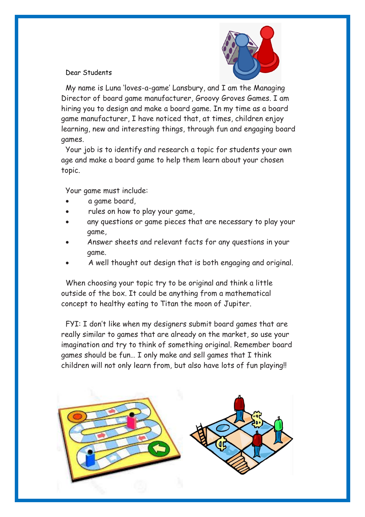

## Dear Students

My name is Luna 'loves-a-game' Lansbury, and I am the Managing Director of board game manufacturer, Groovy Groves Games. I am hiring you to design and make a board game. In my time as a board game manufacturer, I have noticed that, at times, children enjoy learning, new and interesting things, through fun and engaging board games.

Your job is to identify and research a topic for students your own age and make a board game to help them learn about your chosen topic.

Your game must include:

- a game board,
- rules on how to play your game,
- any questions or game pieces that are necessary to play your game,
- Answer sheets and relevant facts for any questions in your game.
- A well thought out design that is both engaging and original.

When choosing your topic try to be original and think a little outside of the box. It could be anything from a mathematical concept to healthy eating to Titan the moon of Jupiter.

FYI: I don't like when my designers submit board games that are really similar to games that are already on the market, so use your imagination and try to think of something original. Remember board games should be fun… I only make and sell games that I think children will not only learn from, but also have lots of fun playing!!